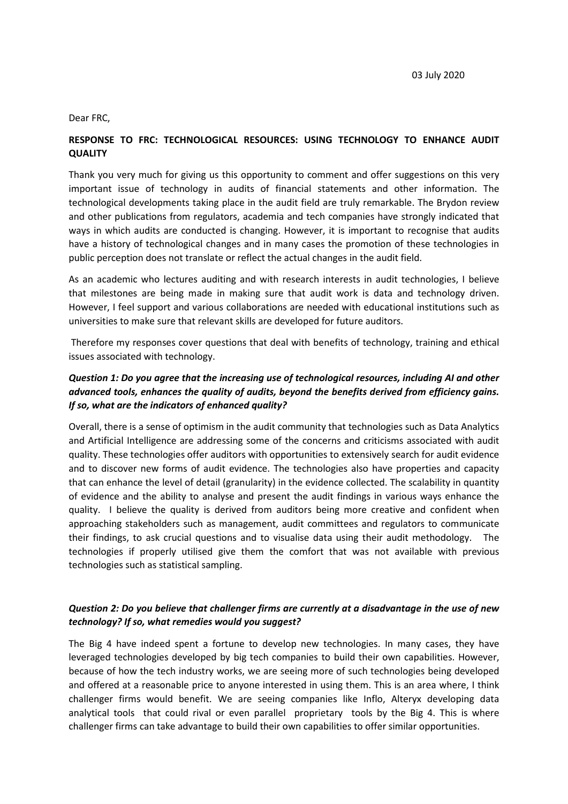Dear FRC,

#### **RESPONSE TO FRC: TECHNOLOGICAL RESOURCES: USING TECHNOLOGY TO ENHANCE AUDIT QUALITY**

Thank you very much for giving us this opportunity to comment and offer suggestions on this very important issue of technology in audits of financial statements and other information. The technological developments taking place in the audit field are truly remarkable. The Brydon review and other publications from regulators, academia and tech companies have strongly indicated that ways in which audits are conducted is changing. However, it is important to recognise that audits have a history of technological changes and in many cases the promotion of these technologies in public perception does not translate or reflect the actual changes in the audit field.

As an academic who lectures auditing and with research interests in audit technologies, I believe that milestones are being made in making sure that audit work is data and technology driven. However, I feel support and various collaborations are needed with educational institutions such as universities to make sure that relevant skills are developed for future auditors.

Therefore my responses cover questions that deal with benefits of technology, training and ethical issues associated with technology.

## *Question 1: Do you agree that the increasing use of technological resources, including AI and other advanced tools, enhances the quality of audits, beyond the benefits derived from efficiency gains. If so, what are the indicators of enhanced quality?*

Overall, there is a sense of optimism in the audit community that technologies such as Data Analytics and Artificial Intelligence are addressing some of the concerns and criticisms associated with audit quality. These technologies offer auditors with opportunities to extensively search for audit evidence and to discover new forms of audit evidence. The technologies also have properties and capacity that can enhance the level of detail (granularity) in the evidence collected. The scalability in quantity of evidence and the ability to analyse and present the audit findings in various ways enhance the quality. I believe the quality is derived from auditors being more creative and confident when approaching stakeholders such as management, audit committees and regulators to communicate their findings, to ask crucial questions and to visualise data using their audit methodology. The technologies if properly utilised give them the comfort that was not available with previous technologies such as statistical sampling.

### *Question 2: Do you believe that challenger firms are currently at a disadvantage in the use of new technology? If so, what remedies would you suggest?*

The Big 4 have indeed spent a fortune to develop new technologies. In many cases, they have leveraged technologies developed by big tech companies to build their own capabilities. However, because of how the tech industry works, we are seeing more of such technologies being developed and offered at a reasonable price to anyone interested in using them. This is an area where, I think challenger firms would benefit. We are seeing companies like Inflo, Alteryx developing data analytical tools that could rival or even parallel proprietary tools by the Big 4. This is where challenger firms can take advantage to build their own capabilities to offer similar opportunities.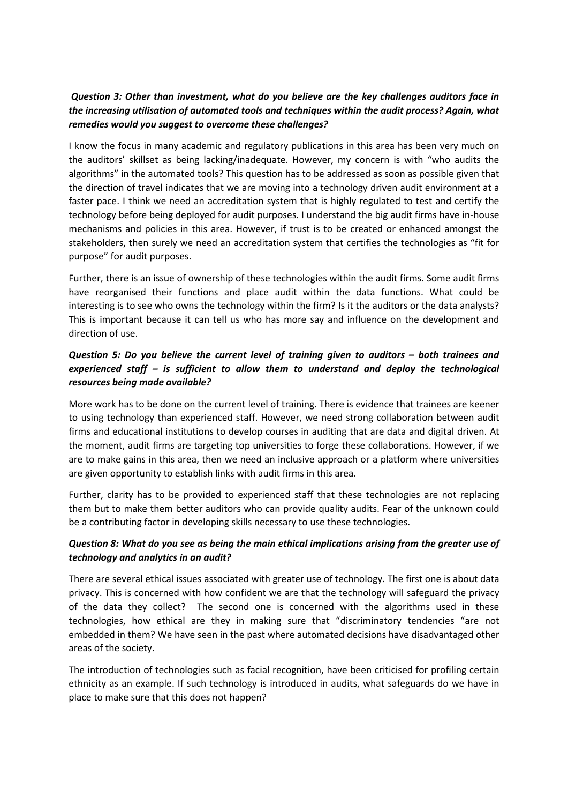### *Question 3: Other than investment, what do you believe are the key challenges auditors face in the increasing utilisation of automated tools and techniques within the audit process? Again, what remedies would you suggest to overcome these challenges?*

I know the focus in many academic and regulatory publications in this area has been very much on the auditors' skillset as being lacking/inadequate. However, my concern is with "who audits the algorithms" in the automated tools? This question has to be addressed as soon as possible given that the direction of travel indicates that we are moving into a technology driven audit environment at a faster pace. I think we need an accreditation system that is highly regulated to test and certify the technology before being deployed for audit purposes. I understand the big audit firms have in-house mechanisms and policies in this area. However, if trust is to be created or enhanced amongst the stakeholders, then surely we need an accreditation system that certifies the technologies as "fit for purpose" for audit purposes.

Further, there is an issue of ownership of these technologies within the audit firms. Some audit firms have reorganised their functions and place audit within the data functions. What could be interesting is to see who owns the technology within the firm? Is it the auditors or the data analysts? This is important because it can tell us who has more say and influence on the development and direction of use.

# *Question 5: Do you believe the current level of training given to auditors – both trainees and experienced staff – is sufficient to allow them to understand and deploy the technological resources being made available?*

More work has to be done on the current level of training. There is evidence that trainees are keener to using technology than experienced staff. However, we need strong collaboration between audit firms and educational institutions to develop courses in auditing that are data and digital driven. At the moment, audit firms are targeting top universities to forge these collaborations. However, if we are to make gains in this area, then we need an inclusive approach or a platform where universities are given opportunity to establish links with audit firms in this area.

Further, clarity has to be provided to experienced staff that these technologies are not replacing them but to make them better auditors who can provide quality audits. Fear of the unknown could be a contributing factor in developing skills necessary to use these technologies.

# *Question 8: What do you see as being the main ethical implications arising from the greater use of technology and analytics in an audit?*

There are several ethical issues associated with greater use of technology. The first one is about data privacy. This is concerned with how confident we are that the technology will safeguard the privacy of the data they collect? The second one is concerned with the algorithms used in these technologies, how ethical are they in making sure that "discriminatory tendencies "are not embedded in them? We have seen in the past where automated decisions have disadvantaged other areas of the society.

The introduction of technologies such as facial recognition, have been criticised for profiling certain ethnicity as an example. If such technology is introduced in audits, what safeguards do we have in place to make sure that this does not happen?